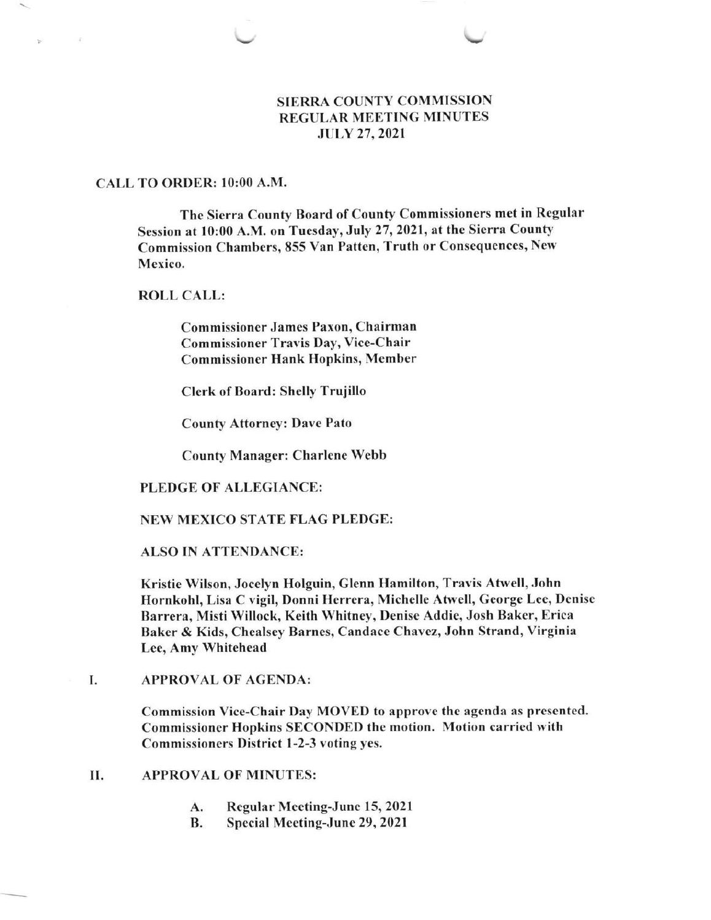# SIERRA COUNTY COMMISSION REGULAR MEETING MINUTES JULY 27,2021

### CALL TO ORDER: l0:00 A.M.

Ý.

 $\overline{4}$ 

The Sierra County Board of County Commissioners met in Regular Session at 10:00 A.M. on Tuesday, July 27, 2021, at the Sicrra County Commission Chambers, 855 Van Patten, Truth or Consequences, New Mexico.

# ROLL CALL:

Commissioner James Paxon, Chairman Commissioner Travis Day, Vice-Chair Commissioner Hank Hopkins, Member

Clerk of Board: Shelly Trujillo

County Attorney: Dave Pato

County Manager: Charlene Webb

### PLEDGE OF ALLEGIANCE:

### NEW MEXICO STATE FLAG PLEDGE:

### ALSO IN ATTENDANCE:

Kristie Wilson, Jocelyn Holguin, Glenn I{amilton, Travis Atwell, John Hornkohl, Lisa C vigil, Donni Herrera, Michelle Atwell, George Lee, Denisc Barrera, Misti Willock, Kcith Whitney, Denisc Addie, Josh Bakcr, Erica Baker & Kids, Chealsey Barnes, Candace Chavez, John Strand, Virginia Lee, Amy Whitehead

APPROVAL OF AGENDA: I

> Commission Vice-Chair Day MOVED to approvc the agenda as prescntcd. Commissioner Hopkins SECONDED the motion. Motion carried with Commissioners District l-2-3 voting yes.

# II. APPROVAL OF MINUTES:

- Regular Mceting-Junc 15, 2021 A.
- Special Meeting-June 29, 2021 B.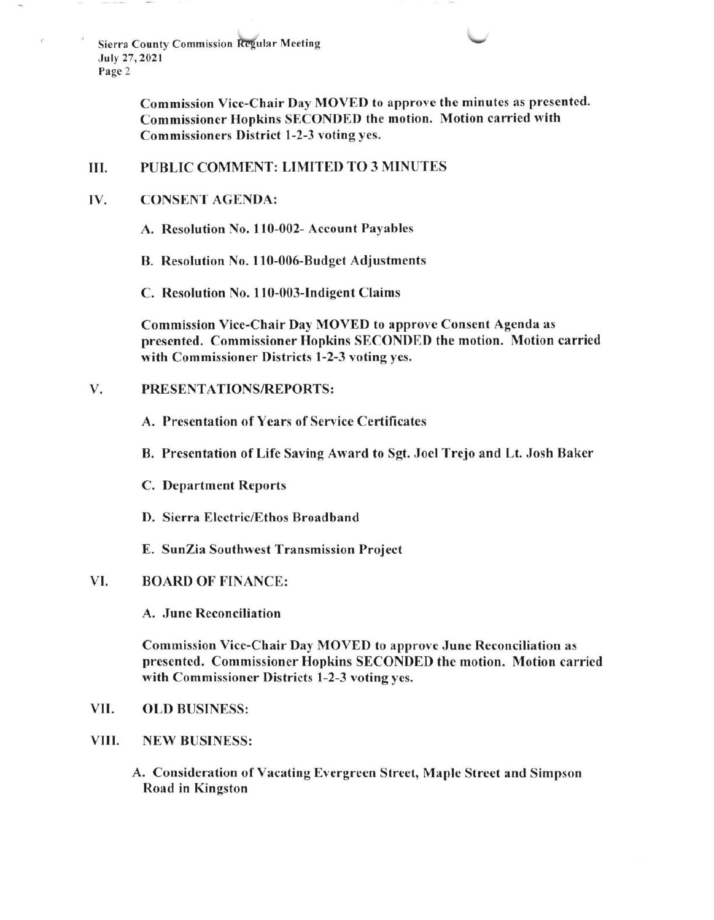> Commission Vice-Chair Day MOVED to approvc the minutcs as presentcd. Commissioncr Hopkins SECONDED the motion. Motion carried with Commissioncrs District l-2-3 voting yes.

#### PUBLIC COMMENT: LIMITED TO 3 MINUTES III.

#### CONSENT AGENDA: IV.

A. Resolution No. ll0-002- Account Payables

B. Resolution No. 110-006-Budget Adjustmcnts

C. Resolution No. 110-003-Indigent Claims

Commission Vice-Chair Day MOVED to approve Consent Agenda as presented. Commissioner Hopkins SECONDED thc motion. Motion carried with Commissioner Districts l-2-3 voting yes.

# V. PRESENTATIONS/REPORTS:

- A. Presentation of Years of Service Certificates
- B. Presentation of Life Saving Award to Sgt. Jocl Trejo and Lt. Josh Baker
- C. Department Reports
- D. Sierra Electric/Ethos Broadband
- E. SunZia Southwest Transmission Project

#### BOARD OF FINANCE: vI.

A. Junc Reconciliation

Commission Vice-Chair Day MOVED to approve June Reconciliation as presented. Commissioner Hopkins SECONDED the motion. Motion carried with Commissioner Districts l-2-3 voting yes.

- VII. OLD BUSINESS:
- VIII. NEW BUSINESS:
	- A, Consideration of Vacating Evergreen Street, Maplc Strcct and Simpson Road in Kingston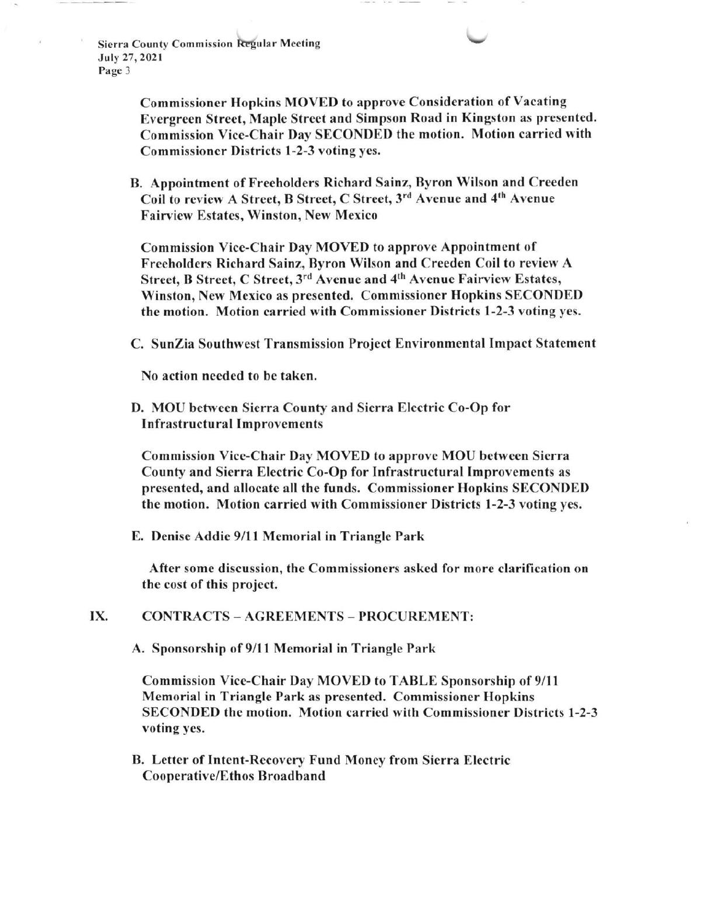> Commissioner Hopkins MOVED to approve Consideration of Vacating Evergreen Street, Maple Street and Simpson Road in Kingston as presented. Commission Vice-Chair Day SECONDED the motion. Motion carried with Commissioner Districts l-2-3 voting yes.

B. Appointment of Freeholders Richard Sainz, Byron Wilson and Creeden Coil to review A Street, B Street, C Street, 3<sup>rd</sup> Avenue and 4<sup>th</sup> Avenue Fairview Estates, Winston, New Mexico

Commission Vice-Chair Day MOVED to approve Appointment of Freeholders Richard Sainz, Byron Wilson and Crceden Coil to review A Street, B Street, C Street, 3rd Avenue and 4th Avenue Fairview Estates, Winston, New Mexico as presented. Commissioner Hopkins SECONDED thc motion. Motion carried with Commissioner Districts l -2-3 voting yes.

C. SunZia Southwest Transmission Project Environmental Impact Statement

No action needed to be taken.

D. MOU between Sierra County and Sierra Electric Co-Op for Infrastructural Improvements

Commission Vice-Chair Day MOVED to approve MOU between Sierra County and Sierra Electric Co-Op for Infrastructural Improvements as prescnted, and allocate all the funds. Commissioner Hopkins SECONDEI) the motion. Motion carried with Commissioner Districts 1-2-3 voting yes.

E. Denise Addie 9/ll Memorial in Triangle Park

After some discussion, the Commissioners asked for more clarification on the cost of this project.

# IX. CONTRACTS - AGREEMENTS - PROCUREMENT:

A. Sponsorship of 9/11 Memorial in Triangle Park

Commission Vice-Chair Day MOVED to TABLE Sponsorship of 9/11 Memorial in Triangle Park as presented. Commissioner Hopkins SECONDED the motion. Motion carried with Commissioncr Districts 1-2-3 voting yes.

B. Letter of Intent-Recovery Fund Money from Sierra Electric Cooperative/Ethos Broadband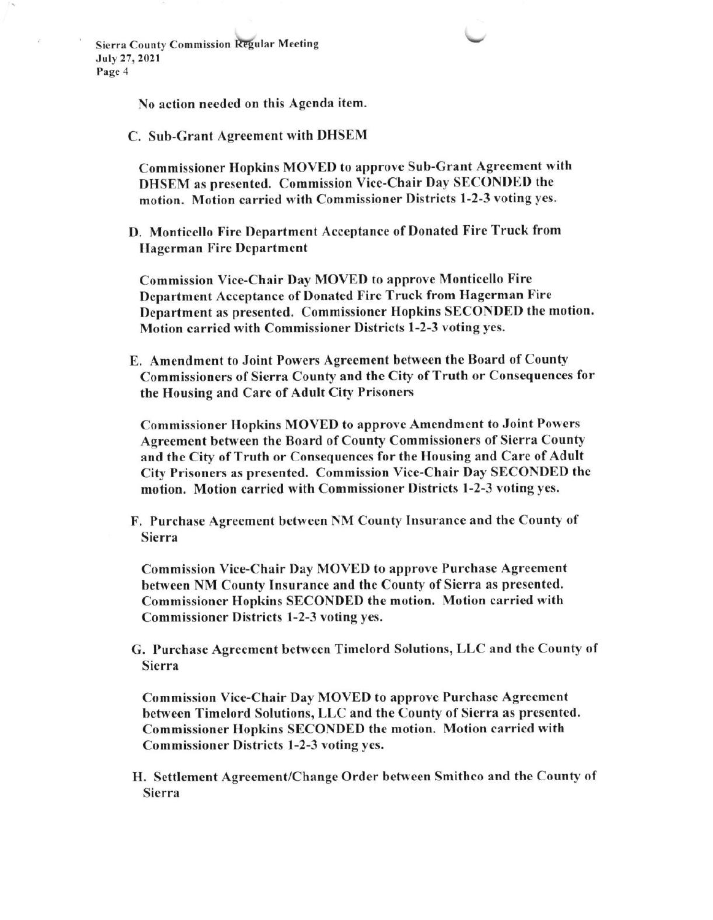No action necded on this Agenda item.

C. Sub-Grant Agreement with DHSEM

Commissioncr Hopkins MOVED to approvc Sub-Grant Agreement with DHSEM as presented. Commission Vice-Chair Day SECONDED the motion. Motion carricd with Commissioner Districts I -2-3 voting yes.

D. Monticello Fire Department Acceptance of Donated Fire Truck from Hagerman Fire Department

Commission Vice-Chair Day MOVED to approve Monticello Fire Department Acceptance of Donated Fire Truck from Hagerman Fire Department as presented. Commissioner Hopkins SECONDED the motion. Motion carried with Commissioner Districts 1-2-3 voting ycs.

E. Amendment to Joint Powers Agreement between the Board of County Commissioners of Sierra County and the City of Truth or Consequences for the Housing and Care of Adult City Prisoners

Commissioner Hopkins MOVED to approve Amendment to Joint Powers Agreement between the Board of County Commissioners of Sierra County and the City of Truth or Consequences for the Housing and Care of Adult City Prisoners as presented. Commission Vice-Chair Day SECONDED the motion. Motion carried with Commissioner Districts l-2-3 voting yes.

F. Purchase Agrecment between NM County Insurance and the County of Sierra

Commission Vice-Chair Day MOVED to approve Purchase Agreement between NM County Insurance and the County of Sierra as presented. Commissioner Hopkins SECONDED the motion. Motion carried with Commissioner Districts 1-2-3 voting yes.

G. Purchase Agreement between Timclord Solutions, LLC and the County of Sierra

Commission Vice-Chair Day MOVED to approve Purchase Agreement betwecn Timelord Solutions, LLC and the County of Sierra as presented. Commissioner Hopkins SECONDED thc motion. Motion carried with Commissioner Districts I -2-3 voting yes.

H. Settlement Agreement/Change Order between Smithco and the County of Sierra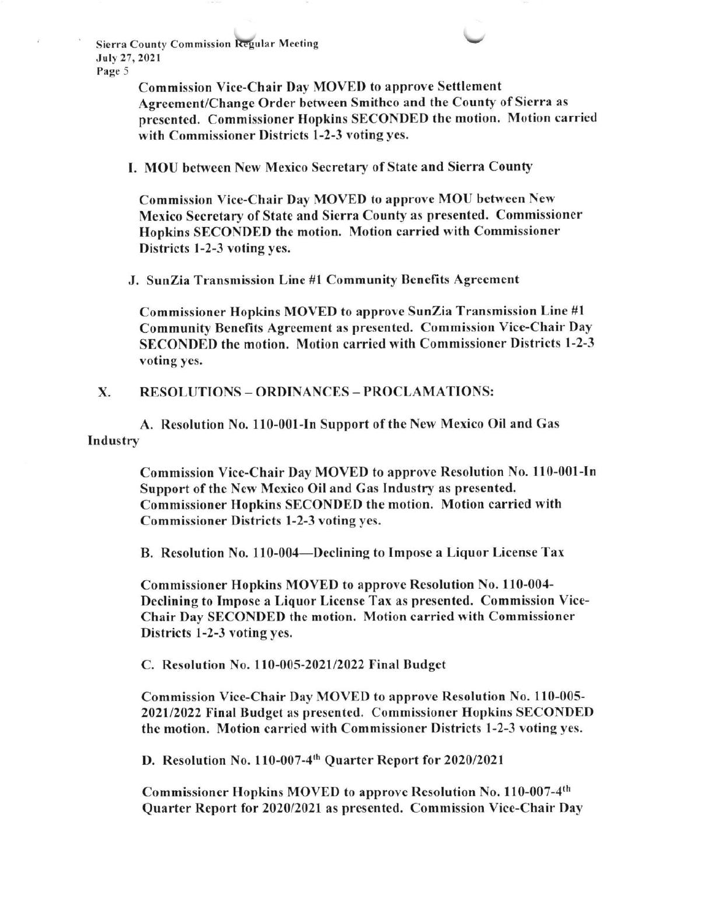> Commission Vice-Chair Day MOVED to approve Settlement Agreemcnt/Change Order betwecn Smithco and the County of Sierra as prescntcd. Commissioner Hopkins SECONDED the motion. Motion carricd with Commissioner Districts l-2-3 voting yes.

I. MOU between New Mexico Secretary of State and Sierra County

Commission Vicc-Chair Day MOVED to approve MOU befwecn New Mexico Secretary of State and Sierra County as presented. Commissioner Hopkins SECONDED the motion. Motion carried with Commissioner Districts 1-2-3 voting yes.

.1. SunZia Transmission Linc #l Community Bcnefits Agrecment

Commissioner Hopkins MOVED to approve SunZia Transmission Line #l Community Benefits Agreement as presented. Commission Vice-Chair Day SECONDED the motion. Motion carricd with Commissioner Districts l-2-3 voting yes,

X. RESOLUTIONS - ORDINANCES - PROCLAMATIONS:

A. Rcsolution No. 110-001-In Support of the Ncw Mexico Oil and Gas Industry

> Commission Vice-Chair Day MOVED to approve Resolution No. 110-001-In Support of the New Mexico Oil and Gas Industry as presented. Commissioner Hopkins SECONDED the motion. Motion carricd with Commissioner Districts l-2-3 voting yes.

B. Resolution No. 110-004-Declining to Impose a Liquor License Tax

Commissioner Hopkins MOVED to approve Resolution No. 110-004- Declining to Imposc a Liquor License Tax as presented. Commission Vice-Chair Day SECONDED the motion. Motion carricd with Commissioner Districts 1-2-3 voting yes.

C. Resolution No. 110-005-2021/2022 Final Budget

Commission Vice-Chair Day MOVED to approve Resolution No. 110-005-202112022 Final Budget as prcsentcd. Commissioner Hopkins SECONDED the motion. Motion carried with Commissioner Districts I-2-3 voting yes.

D. Resolution No. 110-007-4<sup>th</sup> Quarter Report for 2020/2021

Commissioner Hopkins MOVED to approve Resolution No. 110-007-4<sup>th</sup> Quarter Report for 2020/2021 as presented. Commission Vice-Chair Day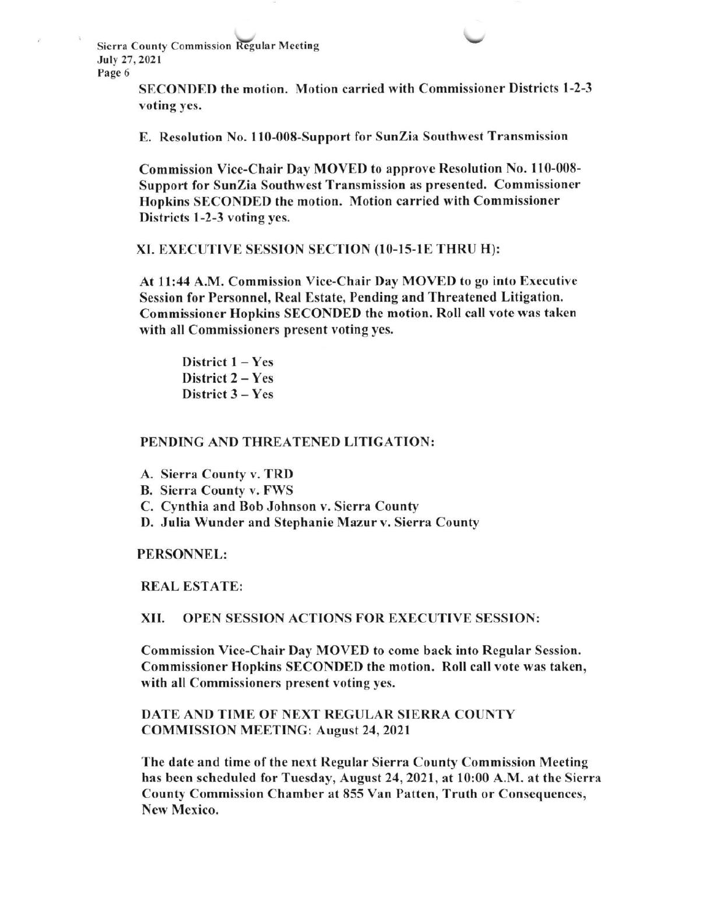> SECONDED the motion. Motion carried with Commissioner Districts l -2-3 voting ycs.

E. Resolution No. I l0-008-5upport for SunZia Southwest Transmission

Commission Vice-Chair Day MOVED to approve Resolution No. 110-008-Support for SunZia Southwest Transmission as presentcd. Commissioner Hopkins SECONDED the motion. Motion carried with Commissioner Districts 1-2-3 voting yes.

### XI. EXECUTIVE SESSION SECTION (10-15-1E THRU H):

At 1l:44 A.M. Commission Vice-Chair Day MOVED to go into Executivc Session for Personnel, Real Estate, Pending and Threatened Litigation. Commissioner Hopkins SECONDED the motion. Roll call vote was taken with all Commissioners present voting yes.

District  $1 - Yes$ District  $2 - Yes$ District  $3 - Yes$ 

# PENDING AND THREATENED LITIGATION:

- A. Sierra County v. TRD
- B. Sierra County v. FWS
- C. Cynthia and Bob Johnson v. Sierra County
- D. Julia Wunder and Stephanie Mazur v. Sierra County

### PERSONNEL:

### REAL ESTATE:

# XII. OPEN SESSION ACTIONS FOR EXECUTIVE SESSION:

Commission Vice-Chair Day MOVED to come back into Regular Scssion. Commissioner Hopkins SECONDED the motion. Roll call vote was taken, with all Commissioners present voting yes.

# DATE AND TIME OF NEXT REGULAR SIERRA COUNTY COMMISSION MEETING: August 24, 2021

The datc and time of the next Regular Sierra County Commission Meeting has been scheduled for Tuesday, August 24, 2021, at 10:00 A.M. at the Sierra County Commission Chamber at 855 Van Pattcn, Truth or Conscquenccs, New Mexico.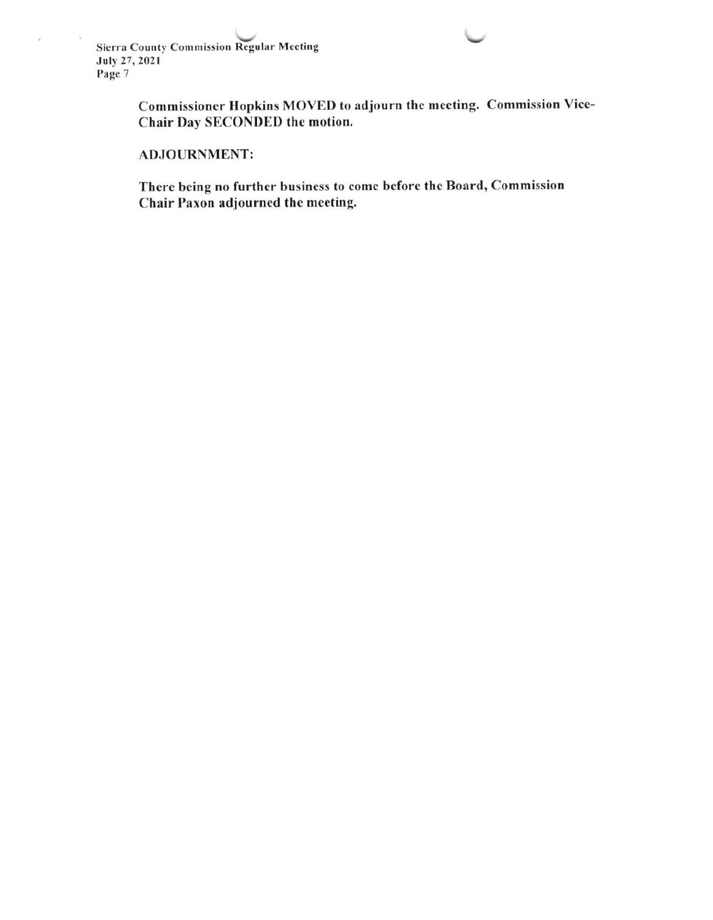$\mathcal{L}_{\mathcal{A}}$ 

 $\mathcal{C}$ 

Commissioncr Hopkins MOVED to adjourn the meeting. Commission Vice-Chair Day SECONDED the motion.

# ADJOURNMENT:

There being no further business to come before the Board, Commission Chair Paxon adjourned the meeting.